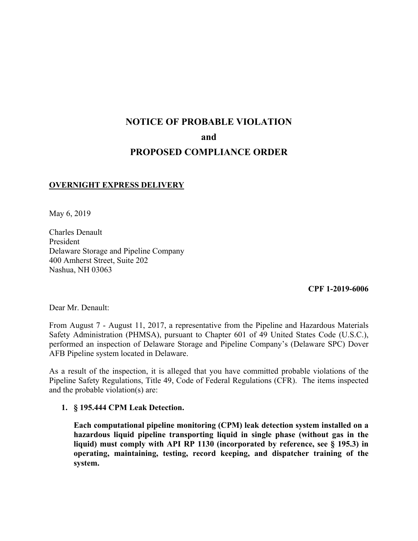# **NOTICE OF PROBABLE VIOLATION and PROPOSED COMPLIANCE ORDER**

### **OVERNIGHT EXPRESS DELIVERY**

May 6, 2019

Charles Denault President Delaware Storage and Pipeline Company 400 Amherst Street, Suite 202 Nashua, NH 03063

**CPF 1-2019-6006** 

Dear Mr. Denault:

From August 7 - August 11, 2017, a representative from the Pipeline and Hazardous Materials Safety Administration (PHMSA), pursuant to Chapter 601 of 49 United States Code (U.S.C.), performed an inspection of Delaware Storage and Pipeline Company's (Delaware SPC) Dover AFB Pipeline system located in Delaware.

 Pipeline Safety Regulations, Title 49, Code of Federal Regulations (CFR). The items inspected As a result of the inspection, it is alleged that you have committed probable violations of the and the probable violation(s) are:

**1. § 195.444 CPM Leak Detection.**

**Each computational pipeline monitoring (CPM) leak detection system installed on a hazardous liquid pipeline transporting liquid in single phase (without gas in the liquid) must comply with API RP 1130 (incorporated by reference, see § 195.3) in operating, maintaining, testing, record keeping, and dispatcher training of the system.**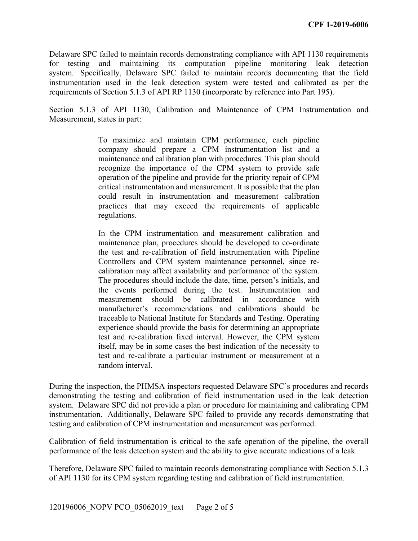for testing and maintaining its computation pipeline monitoring leak detection system. Specifically, Delaware SPC failed to maintain records documenting that the field instrumentation used in the leak detection system were tested and calibrated as per the Delaware SPC failed to maintain records demonstrating compliance with API 1130 requirements requirements of Section 5.1.3 of API RP 1130 (incorporate by reference into Part 195).

Section 5.1.3 of API 1130, Calibration and Maintenance of CPM Instrumentation and Measurement, states in part:

> critical instrumentation and measurement. It is possible that the plan To maximize and maintain CPM performance, each pipeline company should prepare a CPM instrumentation list and a maintenance and calibration plan with procedures. This plan should recognize the importance of the CPM system to provide safe operation of the pipeline and provide for the priority repair of CPM could result in instrumentation and measurement calibration practices that may exceed the requirements of applicable regulations.

> the test and re-calibration of field instrumentation with Pipeline In the CPM instrumentation and measurement calibration and maintenance plan, procedures should be developed to co-ordinate Controllers and CPM system maintenance personnel, since recalibration may affect availability and performance of the system. The procedures should include the date, time, person's initials, and the events performed during the test. Instrumentation and measurement should be calibrated in accordance with manufacturer's recommendations and calibrations should be traceable to National Institute for Standards and Testing. Operating experience should provide the basis for determining an appropriate test and re-calibration fixed interval. However, the CPM system itself, may be in some cases the best indication of the necessity to test and re-calibrate a particular instrument or measurement at a random interval.

During the inspection, the PHMSA inspectors requested Delaware SPC's procedures and records demonstrating the testing and calibration of field instrumentation used in the leak detection system. Delaware SPC did not provide a plan or procedure for maintaining and calibrating CPM instrumentation. Additionally, Delaware SPC failed to provide any records demonstrating that testing and calibration of CPM instrumentation and measurement was performed.

Calibration of field instrumentation is critical to the safe operation of the pipeline, the overall performance of the leak detection system and the ability to give accurate indications of a leak.

Therefore, Delaware SPC failed to maintain records demonstrating compliance with Section 5.1.3 of API 1130 for its CPM system regarding testing and calibration of field instrumentation.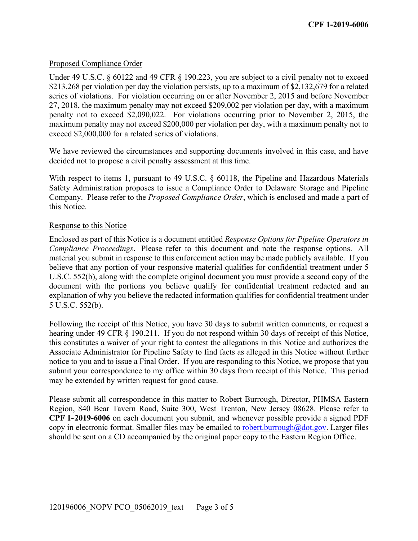## Proposed Compliance Order

Under 49 U.S.C. § 60122 and 49 CFR § 190.223, you are subject to a civil penalty not to exceed \$213,268 per violation per day the violation persists, up to a maximum of \$2,132,679 for a related series of violations. For violation occurring on or after November 2, 2015 and before November 27, 2018, the maximum penalty may not exceed \$209,002 per violation per day, with a maximum penalty not to exceed \$2,090,022. For violations occurring prior to November 2, 2015, the maximum penalty may not exceed \$200,000 per violation per day, with a maximum penalty not to exceed \$2,000,000 for a related series of violations.

We have reviewed the circumstances and supporting documents involved in this case, and have decided not to propose a civil penalty assessment at this time.

With respect to items 1, pursuant to 49 U.S.C. § 60118, the Pipeline and Hazardous Materials Safety Administration proposes to issue a Compliance Order to Delaware Storage and Pipeline Company. Please refer to the *Proposed Compliance Order*, which is enclosed and made a part of this Notice.

### Response to this Notice

 *Compliance Proceedings*. Please refer to this document and note the response options. All Enclosed as part of this Notice is a document entitled *Response Options for Pipeline Operators in*  material you submit in response to this enforcement action may be made publicly available. If you believe that any portion of your responsive material qualifies for confidential treatment under 5 U.S.C. 552(b), along with the complete original document you must provide a second copy of the document with the portions you believe qualify for confidential treatment redacted and an explanation of why you believe the redacted information qualifies for confidential treatment under 5 U.S.C. 552(b).

 submit your correspondence to my office within 30 days from receipt of this Notice. This period Following the receipt of this Notice, you have 30 days to submit written comments, or request a hearing under 49 CFR § 190.211. If you do not respond within 30 days of receipt of this Notice, this constitutes a waiver of your right to contest the allegations in this Notice and authorizes the Associate Administrator for Pipeline Safety to find facts as alleged in this Notice without further notice to you and to issue a Final Order. If you are responding to this Notice, we propose that you may be extended by written request for good cause.

Please submit all correspondence in this matter to Robert Burrough, Director, PHMSA Eastern Region, 840 Bear Tavern Road, Suite 300, West Trenton, New Jersey 08628. Please refer to **CPF 1-2019-6006** on each document you submit, and whenever possible provide a signed PDF copy in electronic format. Smaller files may be emailed to robert.burrough $\omega$ dot.gov. Larger files should be sent on a CD accompanied by the original paper copy to the Eastern Region Office.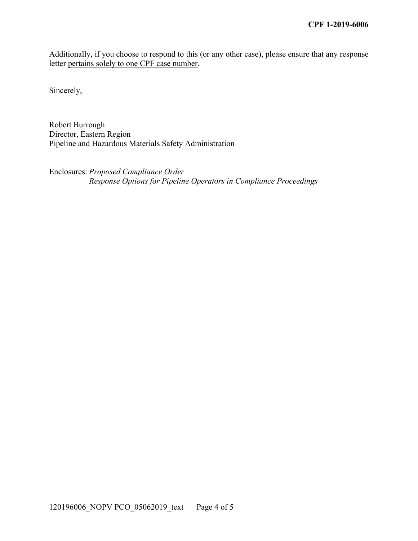Additionally, if you choose to respond to this (or any other case), please ensure that any response letter pertains solely to one CPF case number.

Sincerely,

Robert Burrough Director, Eastern Region Pipeline and Hazardous Materials Safety Administration

Enclosures: *Proposed Compliance Order Response Options for Pipeline Operators in Compliance Proceedings*